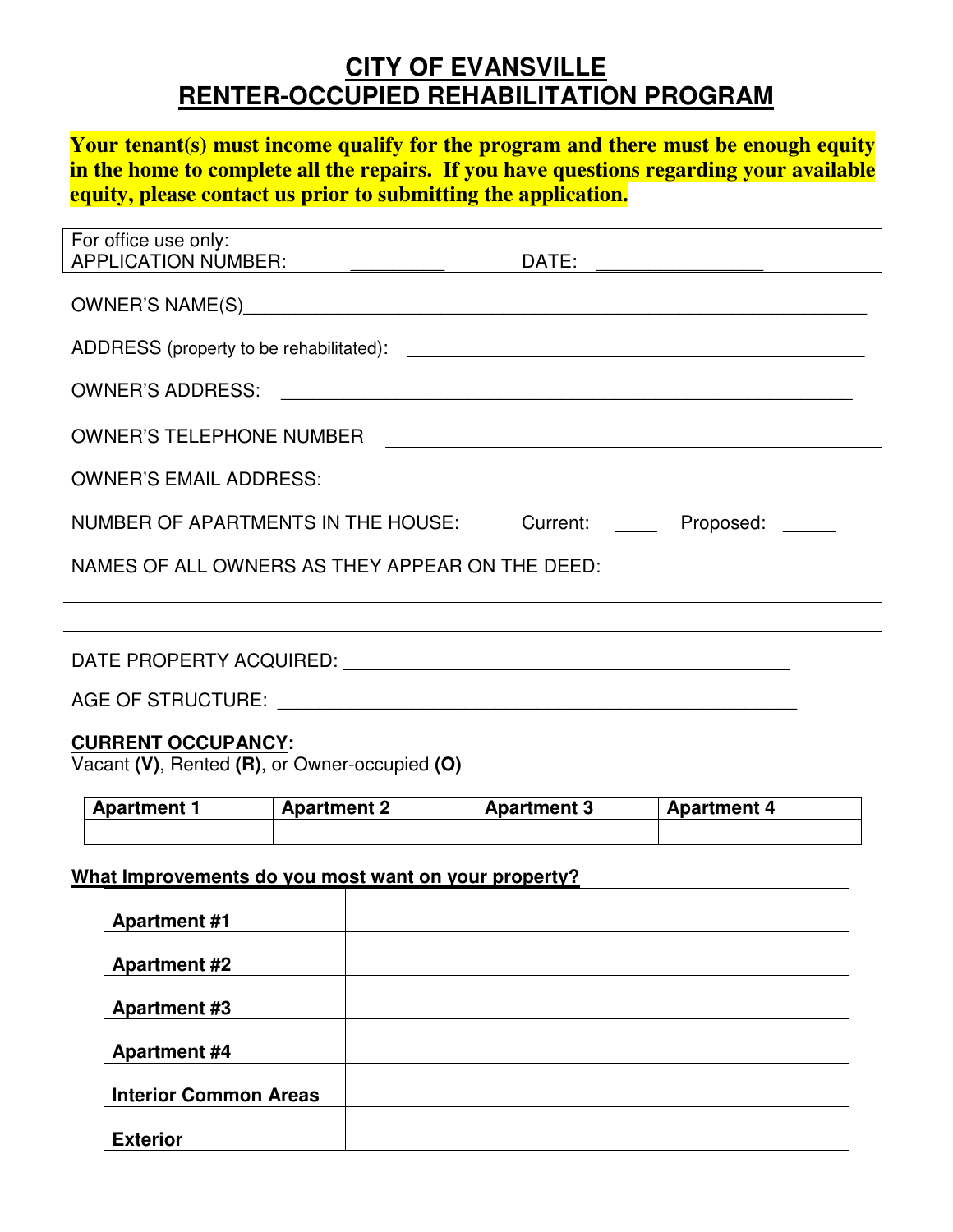# **CITY OF EVANSVILLE RENTER-OCCUPIED REHABILITATION PROGRAM**

**Your tenant(s) must income qualify for the program and there must be enough equity in the home to complete all the repairs. If you have questions regarding your available equity, please contact us prior to submitting the application.** 

| For office use only:                                                       | DATE: __ <del>_____________</del> _______ |  |  |  |  |
|----------------------------------------------------------------------------|-------------------------------------------|--|--|--|--|
|                                                                            |                                           |  |  |  |  |
|                                                                            |                                           |  |  |  |  |
|                                                                            |                                           |  |  |  |  |
| OWNER'S TELEPHONE NUMBER                                                   |                                           |  |  |  |  |
|                                                                            |                                           |  |  |  |  |
| NUMBER OF APARTMENTS IN THE HOUSE: Current: Proposed:                      |                                           |  |  |  |  |
| NAMES OF ALL OWNERS AS THEY APPEAR ON THE DEED:                            |                                           |  |  |  |  |
|                                                                            |                                           |  |  |  |  |
|                                                                            |                                           |  |  |  |  |
|                                                                            |                                           |  |  |  |  |
| <b>CURRENT OCCUPANCY:</b><br>Vacant (V), Rented (R), or Owner-occupied (O) |                                           |  |  |  |  |

| <b>Apartment 2</b><br><b>Apartment 1</b> |  | <b>Apartment 3</b> | l Apartment 4 |  |
|------------------------------------------|--|--------------------|---------------|--|
|                                          |  |                    |               |  |

## **What Improvements do you most want on your property?**

| <b>Apartment #1</b>          |  |
|------------------------------|--|
|                              |  |
| <b>Apartment #2</b>          |  |
|                              |  |
| <b>Apartment #3</b>          |  |
|                              |  |
| <b>Apartment #4</b>          |  |
|                              |  |
| <b>Interior Common Areas</b> |  |
|                              |  |
| <b>Exterior</b>              |  |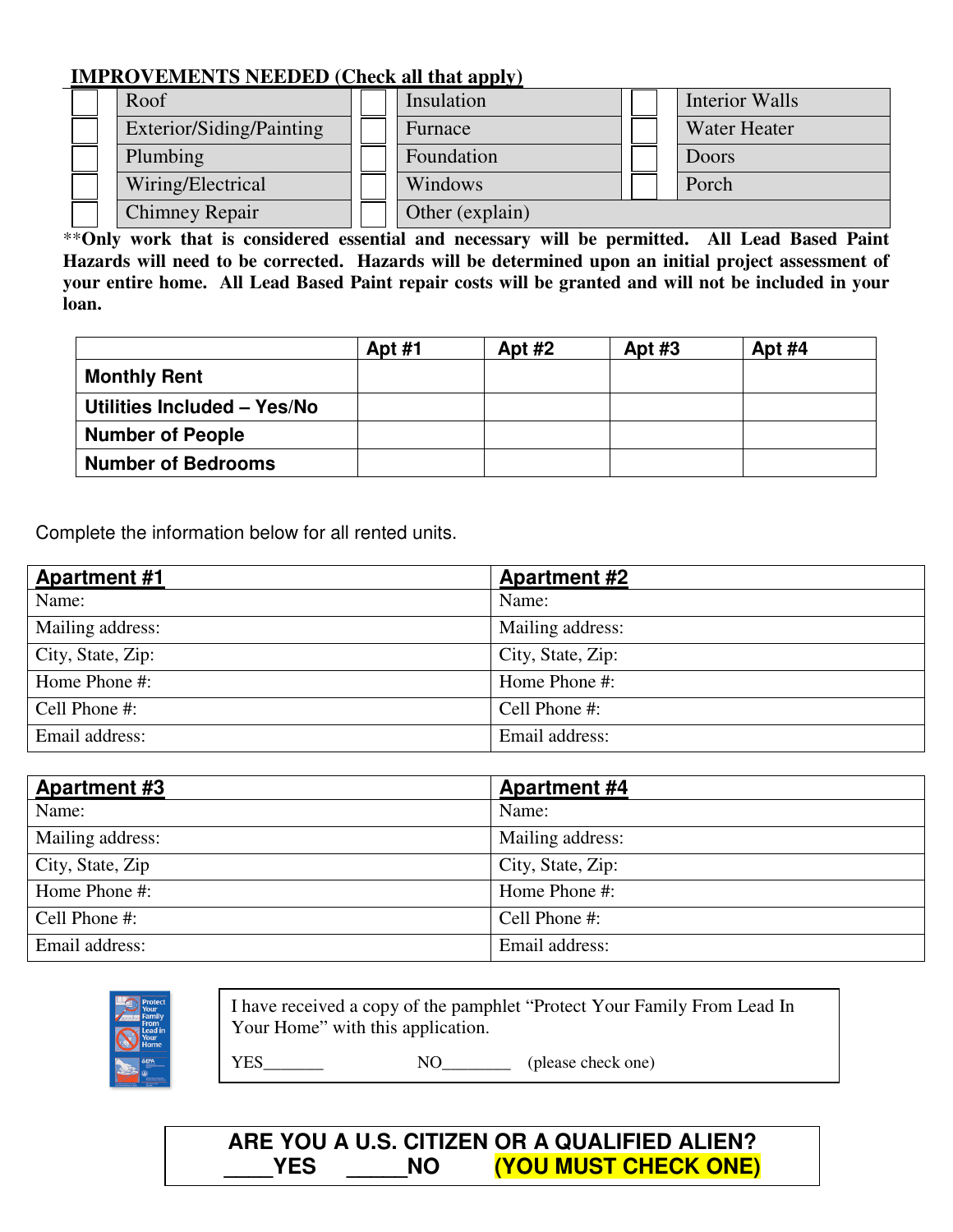## **IMPROVEMENTS NEEDED (Check all that apply)**

|  | $\sim$ , matter , i.e. the matter of $\sim$ . The state of $\sim$ , $\sim$ |                 |                     |
|--|----------------------------------------------------------------------------|-----------------|---------------------|
|  | Roof                                                                       | Insulation      | Interior Walls      |
|  | Exterior/Siding/Painting                                                   | Furnace         | <b>Water Heater</b> |
|  | Plumbing                                                                   | Foundation      | Doors               |
|  | Wiring/Electrical                                                          | Windows         | Porch               |
|  | <b>Chimney Repair</b>                                                      | Other (explain) |                     |

\*\***Only work that is considered essential and necessary will be permitted. All Lead Based Paint Hazards will need to be corrected. Hazards will be determined upon an initial project assessment of your entire home. All Lead Based Paint repair costs will be granted and will not be included in your loan.** 

|                             | <b>Apt #1</b> | Apt $#2$ | Apt $#3$ | Apt $#4$ |
|-----------------------------|---------------|----------|----------|----------|
| <b>Monthly Rent</b>         |               |          |          |          |
| Utilities Included - Yes/No |               |          |          |          |
| <b>Number of People</b>     |               |          |          |          |
| <b>Number of Bedrooms</b>   |               |          |          |          |

Complete the information below for all rented units.

| <b>Apartment #1</b> | <b>Apartment #2</b> |
|---------------------|---------------------|
| Name:               | Name:               |
| Mailing address:    | Mailing address:    |
| City, State, Zip:   | City, State, Zip:   |
| Home Phone #:       | Home Phone #:       |
| Cell Phone #:       | Cell Phone #:       |
| Email address:      | Email address:      |

| <b>Apartment #3</b> | <b>Apartment #4</b> |
|---------------------|---------------------|
| Name:               | Name:               |
| Mailing address:    | Mailing address:    |
| City, State, Zip    | City, State, Zip:   |
| Home Phone #:       | Home Phone #:       |
| Cell Phone #:       | Cell Phone #:       |
| Email address:      | Email address:      |



I have received a copy of the pamphlet "Protect Your Family From Lead In Your Home" with this application.

YES\_\_\_\_\_\_\_ NO\_\_\_\_\_\_\_\_ (please check one)

# **ARE YOU A U.S. CITIZEN OR A QUALIFIED ALIEN?** YES NO (YOU MUST CHECK ONE)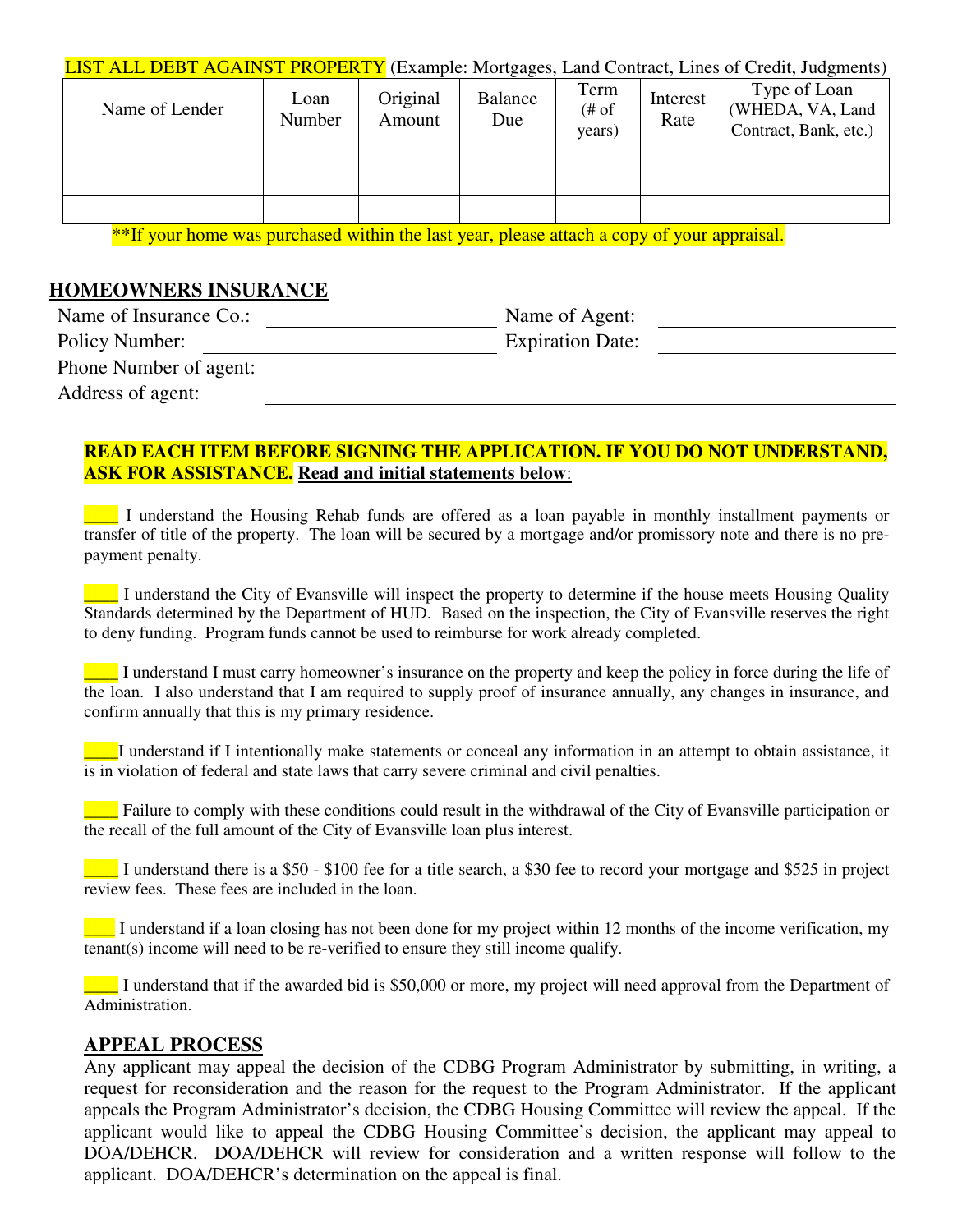| LIST ALL DEBT AGAINST PROPERTY (Example: Mortgages, Land Contract, Lines of Credit, Judgments) |  |  |  |
|------------------------------------------------------------------------------------------------|--|--|--|
|                                                                                                |  |  |  |

| Name of Lender | Loan<br>Number | Original<br>Amount | ັັ<br>Balance<br>Due | Term<br># of<br>years) | Interest<br>Rate | Type of Loan<br>(WHEDA, VA, Land<br>Contract, Bank, etc.) |
|----------------|----------------|--------------------|----------------------|------------------------|------------------|-----------------------------------------------------------|
|                |                |                    |                      |                        |                  |                                                           |
|                |                |                    |                      |                        |                  |                                                           |
|                |                |                    |                      |                        |                  |                                                           |

\*\*If your home was purchased within the last year, please attach a copy of your appraisal.

#### **HOMEOWNERS INSURANCE**

| Name of Insurance Co.: | Name of Agent:          |  |
|------------------------|-------------------------|--|
| Policy Number:         | <b>Expiration Date:</b> |  |
| Phone Number of agent: |                         |  |
| Address of agent:      |                         |  |

### **READ EACH ITEM BEFORE SIGNING THE APPLICATION. IF YOU DO NOT UNDERSTAND, ASK FOR ASSISTANCE. Read and initial statements below**:

\_\_\_\_ I understand the Housing Rehab funds are offered as a loan payable in monthly installment payments or transfer of title of the property. The loan will be secured by a mortgage and/or promissory note and there is no prepayment penalty.

\_\_\_\_ I understand the City of Evansville will inspect the property to determine if the house meets Housing Quality Standards determined by the Department of HUD. Based on the inspection, the City of Evansville reserves the right to deny funding. Program funds cannot be used to reimburse for work already completed.

\_\_\_\_ I understand I must carry homeowner's insurance on the property and keep the policy in force during the life of the loan. I also understand that I am required to supply proof of insurance annually, any changes in insurance, and confirm annually that this is my primary residence.

\_\_\_\_I understand if I intentionally make statements or conceal any information in an attempt to obtain assistance, it is in violation of federal and state laws that carry severe criminal and civil penalties.

 $\Box$  Failure to comply with these conditions could result in the withdrawal of the City of Evansville participation or the recall of the full amount of the City of Evansville loan plus interest.

\_\_\_\_ I understand there is a \$50 - \$100 fee for a title search, a \$30 fee to record your mortgage and \$525 in project review fees. These fees are included in the loan.

\_\_\_\_ I understand if a loan closing has not been done for my project within 12 months of the income verification, my tenant(s) income will need to be re-verified to ensure they still income qualify.

\_\_\_\_ I understand that if the awarded bid is \$50,000 or more, my project will need approval from the Department of Administration.

### **APPEAL PROCESS**

Any applicant may appeal the decision of the CDBG Program Administrator by submitting, in writing, a request for reconsideration and the reason for the request to the Program Administrator. If the applicant appeals the Program Administrator's decision, the CDBG Housing Committee will review the appeal. If the applicant would like to appeal the CDBG Housing Committee's decision, the applicant may appeal to DOA/DEHCR. DOA/DEHCR will review for consideration and a written response will follow to the applicant. DOA/DEHCR's determination on the appeal is final.